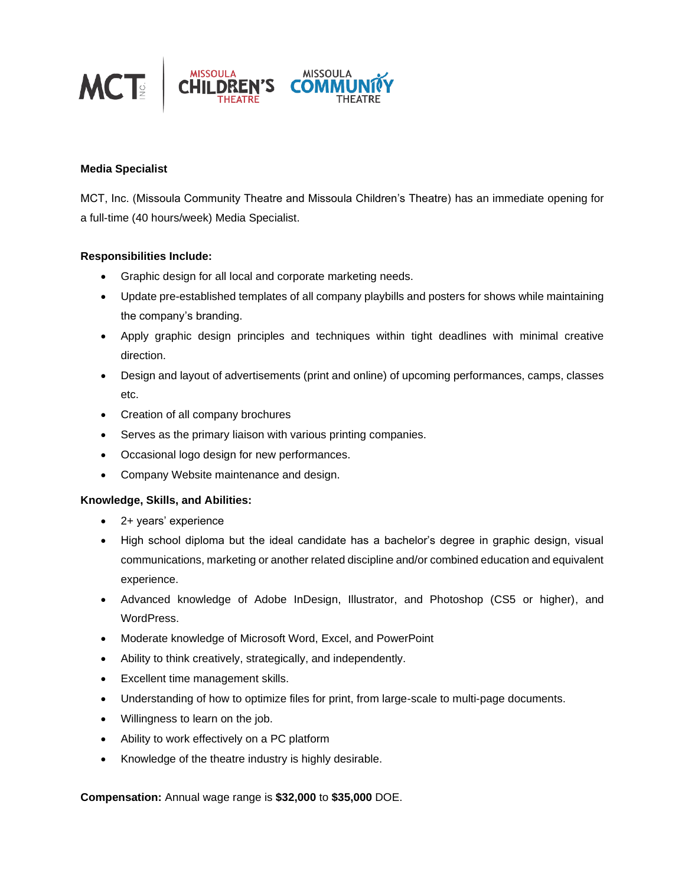

## **Media Specialist**

MCT, Inc. (Missoula Community Theatre and Missoula Children's Theatre) has an immediate opening for a full-time (40 hours/week) Media Specialist.

## **Responsibilities Include:**

- Graphic design for all local and corporate marketing needs.
- Update pre-established templates of all company playbills and posters for shows while maintaining the company's branding.
- Apply graphic design principles and techniques within tight deadlines with minimal creative direction.
- Design and layout of advertisements (print and online) of upcoming performances, camps, classes etc.
- Creation of all company brochures
- Serves as the primary liaison with various printing companies.
- Occasional logo design for new performances.
- Company Website maintenance and design.

## **Knowledge, Skills, and Abilities:**

- 2+ years' experience
- High school diploma but the ideal candidate has a bachelor's degree in graphic design, visual communications, marketing or another related discipline and/or combined education and equivalent experience.
- Advanced knowledge of Adobe InDesign, Illustrator, and Photoshop (CS5 or higher), and WordPress.
- Moderate knowledge of Microsoft Word, Excel, and PowerPoint
- Ability to think creatively, strategically, and independently.
- Excellent time management skills.
- Understanding of how to optimize files for print, from large-scale to multi-page documents.
- Willingness to learn on the job.
- Ability to work effectively on a PC platform
- Knowledge of the theatre industry is highly desirable.

**Compensation:** Annual wage range is **\$32,000** to **\$35,000** DOE.